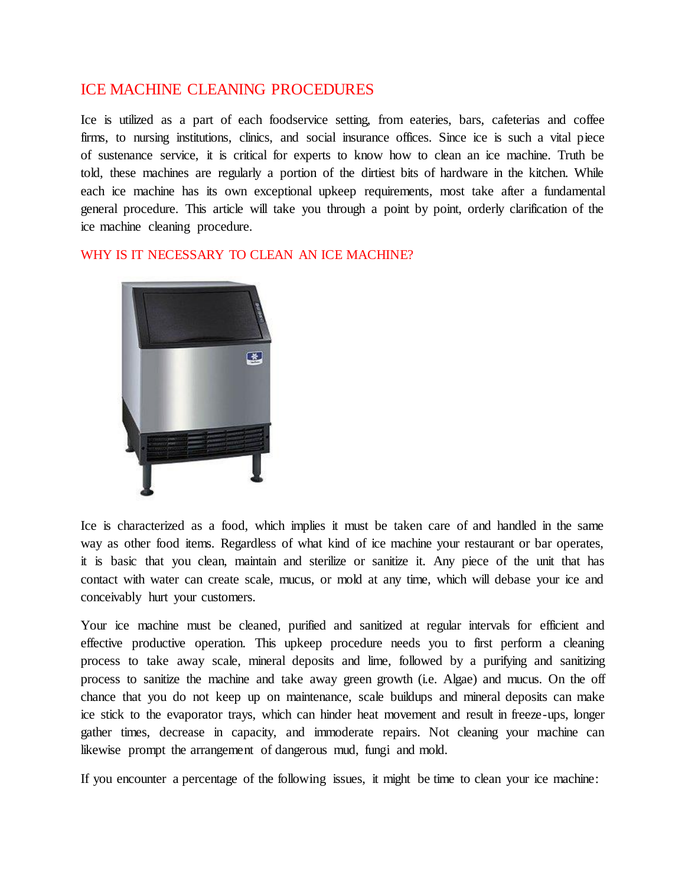## ICE MACHINE CLEANING PROCEDURES

Ice is utilized as a part of each foodservice setting, from eateries, bars, cafeterias and coffee firms, to nursing institutions, clinics, and social insurance offices. Since ice is such a vital piece of sustenance service, it is critical for experts to know how to clean an ice machine. Truth be told, these machines are regularly a portion of the dirtiest bits of hardware in the kitchen. While each ice machine has its own exceptional upkeep requirements, most take after a fundamental general procedure. This article will take you through a point by point, orderly clarification of the ice machine cleaning procedure.

WHY IS IT NECESSARY TO CLEAN AN ICE MACHINE?



Ice is characterized as a food, which implies it must be taken care of and handled in the same way as other food items. Regardless of what kind of ice machine your restaurant or bar operates, it is basic that you clean, maintain and sterilize or sanitize it. Any piece of the unit that has contact with water can create scale, mucus, or mold at any time, which will debase your ice and conceivably hurt your customers.

Your ice machine must be cleaned, purified and sanitized at regular intervals for efficient and effective productive operation. This upkeep procedure needs you to first perform a cleaning process to take away scale, mineral deposits and lime, followed by a purifying and sanitizing process to sanitize the machine and take away green growth (i.e. Algae) and mucus. On the off chance that you do not keep up on maintenance, scale buildups and mineral deposits can make ice stick to the evaporator trays, which can hinder heat movement and result in freeze-ups, longer gather times, decrease in capacity, and immoderate repairs. Not cleaning your machine can likewise prompt the arrangement of dangerous mud, fungi and mold.

If you encounter a percentage of the following issues, it might be time to clean your ice machine: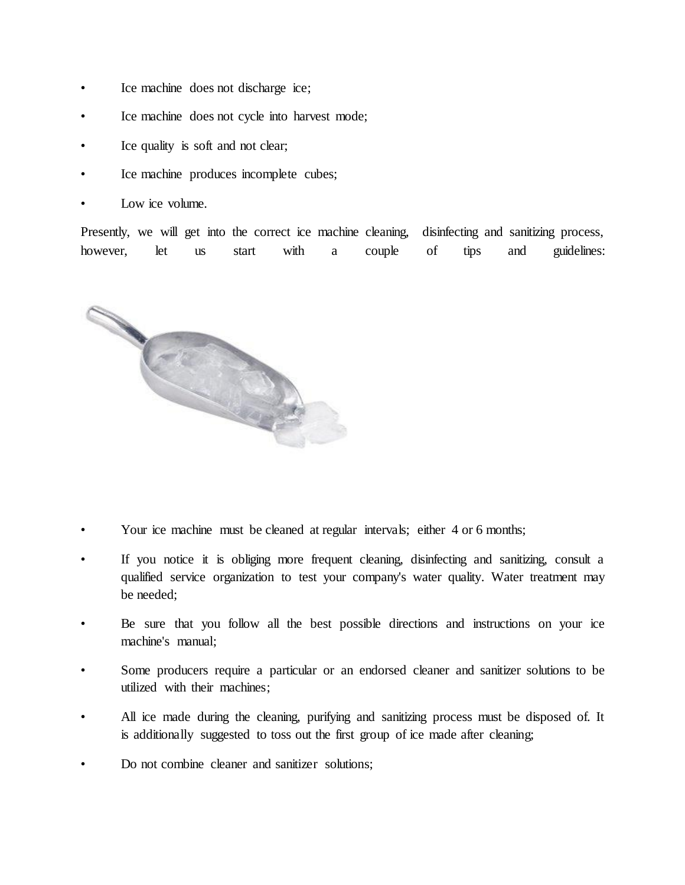- Ice machine does not discharge ice;
- Ice machine does not cycle into harvest mode;
- Ice quality is soft and not clear;
- Ice machine produces incomplete cubes;
- Low ice volume.

Presently, we will get into the correct ice machine cleaning, disinfecting and sanitizing process, however, let us start with a couple of tips and guidelines:



- Your ice machine must be cleaned at regular intervals; either 4 or 6 months;
- If you notice it is obliging more frequent cleaning, disinfecting and sanitizing, consult a qualified service organization to test your company's water quality. Water treatment may be needed;
- Be sure that you follow all the best possible directions and instructions on your ice machine's manual;
- Some producers require a particular or an endorsed cleaner and sanitizer solutions to be utilized with their machines;
- All ice made during the cleaning, purifying and sanitizing process must be disposed of. It is additionally suggested to toss out the first group of ice made after cleaning;
- Do not combine cleaner and sanitizer solutions;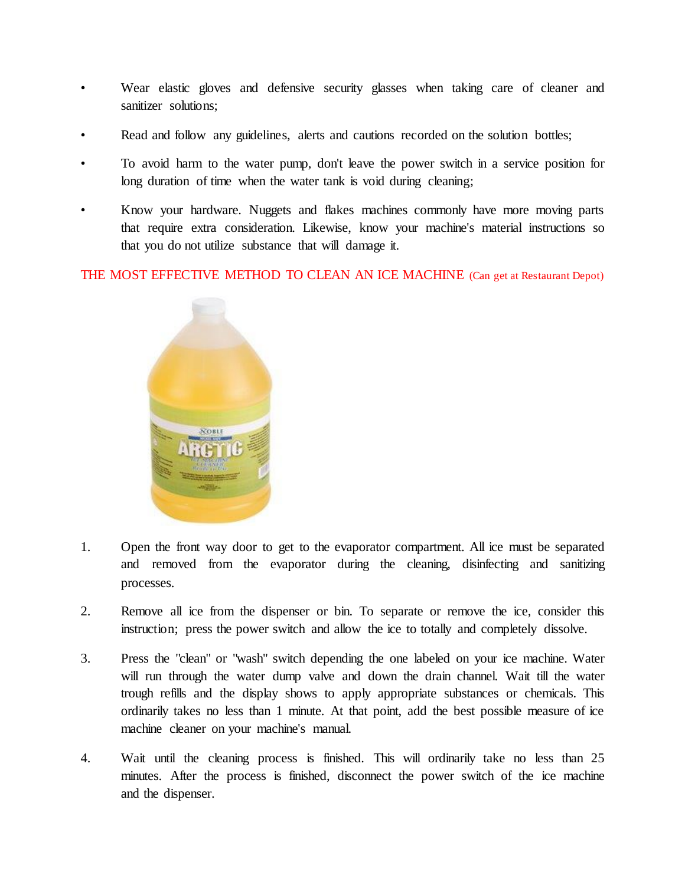- Wear elastic gloves and defensive security glasses when taking care of cleaner and sanitizer solutions;
- Read and follow any guidelines, alerts and cautions recorded on the solution bottles;
- To avoid harm to the water pump, don't leave the power switch in a service position for long duration of time when the water tank is void during cleaning;
- Know your hardware. Nuggets and flakes machines commonly have more moving parts that require extra consideration. Likewise, know your machine's material instructions so that you do not utilize substance that will damage it.

THE MOST EFFECTIVE METHOD TO CLEAN AN ICE MACHINE (Can get at Restaurant Depot)



- 1. Open the front way door to get to the evaporator compartment. All ice must be separated and removed from the evaporator during the cleaning, disinfecting and sanitizing processes.
- 2. Remove all ice from the dispenser or bin. To separate or remove the ice, consider this instruction; press the power switch and allow the ice to totally and completely dissolve.
- 3. Press the "clean" or "wash" switch depending the one labeled on your ice machine. Water will run through the water dump valve and down the drain channel. Wait till the water trough refills and the display shows to apply appropriate substances or chemicals. This ordinarily takes no less than 1 minute. At that point, add the best possible measure of ice machine cleaner on your machine's manual.
- 4. Wait until the cleaning process is finished. This will ordinarily take no less than 25 minutes. After the process is finished, disconnect the power switch of the ice machine and the dispenser.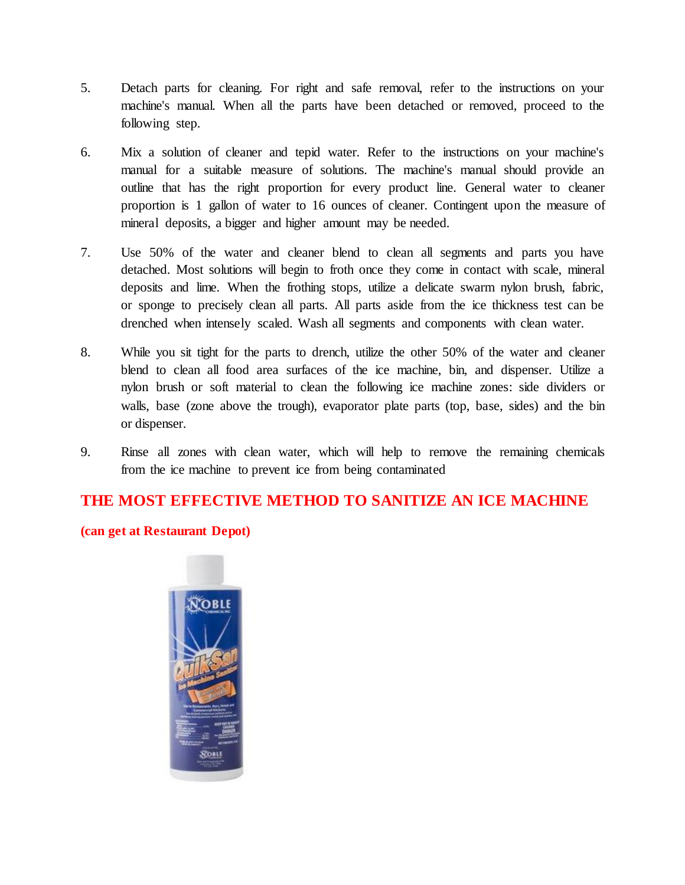- 5. Detach parts for cleaning. For right and safe removal, refer to the instructions on your machine's manual. When all the parts have been detached or removed, proceed to the following step.
- 6. Mix a solution of cleaner and tepid water. Refer to the instructions on your machine's manual for a suitable measure of solutions. The machine's manual should provide an outline that has the right proportion for every product line. General water to cleaner proportion is 1 gallon of water to 16 ounces of cleaner. Contingent upon the measure of mineral deposits, a bigger and higher amount may be needed.
- 7. Use 50% of the water and cleaner blend to clean all segments and parts you have detached. Most solutions will begin to froth once they come in contact with scale, mineral deposits and lime. When the frothing stops, utilize a delicate swarm nylon brush, fabric, or sponge to precisely clean all parts. All parts aside from the ice thickness test can be drenched when intensely scaled. Wash all segments and components with clean water.
- 8. While you sit tight for the parts to drench, utilize the other 50% of the water and cleaner blend to clean all food area surfaces of the ice machine, bin, and dispenser. Utilize a nylon brush or soft material to clean the following ice machine zones: side dividers or walls, base (zone above the trough), evaporator plate parts (top, base, sides) and the bin or dispenser.
- 9. Rinse all zones with clean water, which will help to remove the remaining chemicals from the ice machine to prevent ice from being contaminated

# **THE MOST EFFECTIVE METHOD TO SANITIZE AN ICE MACHINE**

#### **(can get at Restaurant Depot)**

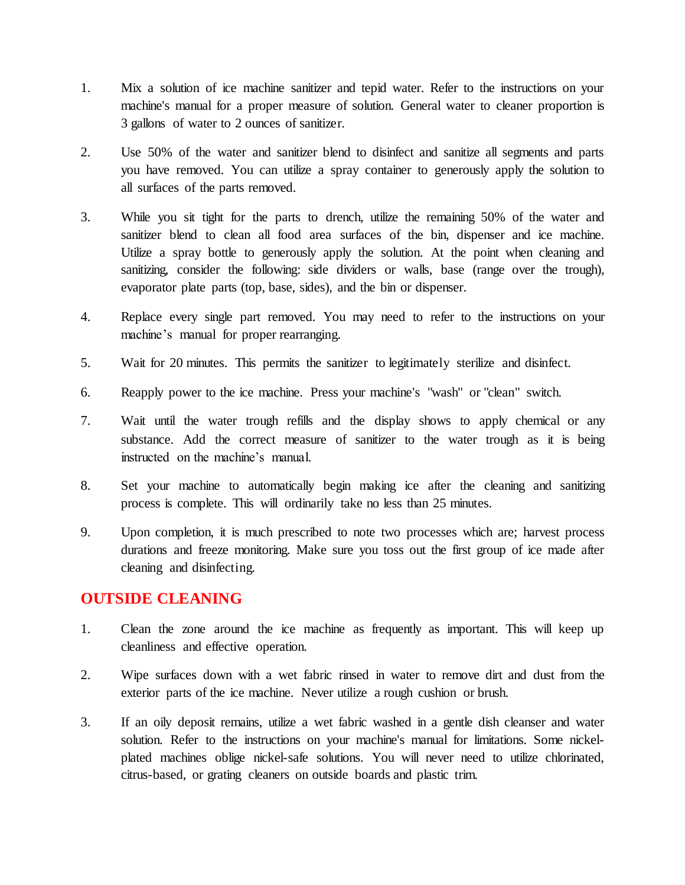- 1. Mix a solution of ice machine sanitizer and tepid water. Refer to the instructions on your machine's manual for a proper measure of solution. General water to cleaner proportion is 3 gallons of water to 2 ounces of sanitizer.
- 2. Use 50% of the water and sanitizer blend to disinfect and sanitize all segments and parts you have removed. You can utilize a spray container to generously apply the solution to all surfaces of the parts removed.
- 3. While you sit tight for the parts to drench, utilize the remaining 50% of the water and sanitizer blend to clean all food area surfaces of the bin, dispenser and ice machine. Utilize a spray bottle to generously apply the solution. At the point when cleaning and sanitizing, consider the following: side dividers or walls, base (range over the trough), evaporator plate parts (top, base, sides), and the bin or dispenser.
- 4. Replace every single part removed. You may need to refer to the instructions on your machine's manual for proper rearranging.
- 5. Wait for 20 minutes. This permits the sanitizer to legitimately sterilize and disinfect.
- 6. Reapply power to the ice machine. Press your machine's "wash" or "clean" switch.
- 7. Wait until the water trough refills and the display shows to apply chemical or any substance. Add the correct measure of sanitizer to the water trough as it is being instructed on the machine's manual.
- 8. Set your machine to automatically begin making ice after the cleaning and sanitizing process is complete. This will ordinarily take no less than 25 minutes.
- 9. Upon completion, it is much prescribed to note two processes which are; harvest process durations and freeze monitoring. Make sure you toss out the first group of ice made after cleaning and disinfecting.

## **OUTSIDE CLEANING**

- 1. Clean the zone around the ice machine as frequently as important. This will keep up cleanliness and effective operation.
- 2. Wipe surfaces down with a wet fabric rinsed in water to remove dirt and dust from the exterior parts of the ice machine. Never utilize a rough cushion or brush.
- 3. If an oily deposit remains, utilize a wet fabric washed in a gentle dish cleanser and water solution. Refer to the instructions on your machine's manual for limitations. Some nickelplated machines oblige nickel-safe solutions. You will never need to utilize chlorinated, citrus-based, or grating cleaners on outside boards and plastic trim.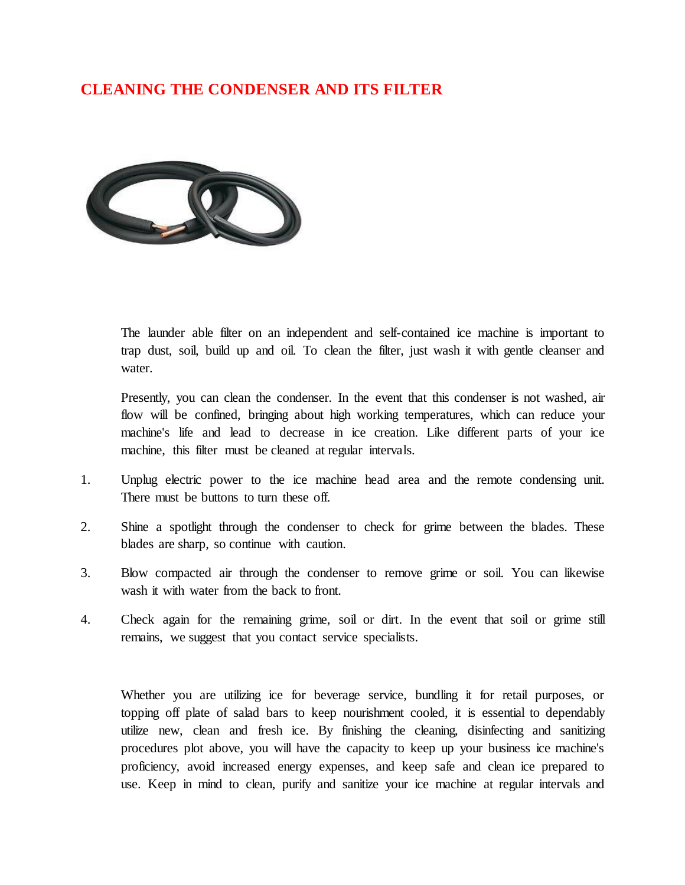# **CLEANING THE CONDENSER AND ITS FILTER**



The launder able filter on an independent and self-contained ice machine is important to trap dust, soil, build up and oil. To clean the filter, just wash it with gentle cleanser and water.

Presently, you can clean the condenser. In the event that this condenser is not washed, air flow will be confined, bringing about high working temperatures, which can reduce your machine's life and lead to decrease in ice creation. Like different parts of your ice machine, this filter must be cleaned at regular intervals.

- 1. Unplug electric power to the ice machine head area and the remote condensing unit. There must be buttons to turn these off.
- 2. Shine a spotlight through the condenser to check for grime between the blades. These blades are sharp, so continue with caution.
- 3. Blow compacted air through the condenser to remove grime or soil. You can likewise wash it with water from the back to front.
- 4. Check again for the remaining grime, soil or dirt. In the event that soil or grime still remains, we suggest that you contact service specialists.

Whether you are utilizing ice for beverage service, bundling it for retail purposes, or topping off plate of salad bars to keep nourishment cooled, it is essential to dependably utilize new, clean and fresh ice. By finishing the cleaning, disinfecting and sanitizing procedures plot above, you will have the capacity to keep up your business ice machine's proficiency, avoid increased energy expenses, and keep safe and clean ice prepared to use. Keep in mind to clean, purify and sanitize your ice machine at regular intervals and